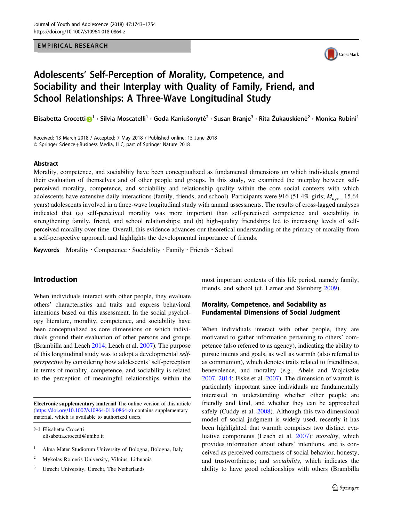### EMPIRICAL RESEARCH



# Adolescents' Self-Perception of Morality, Competence, and Sociability and their Interplay with Quality of Family, Friend, and School Relationships: A Three-Wave Longitudinal Study

El[i](http://orcid.org/0000-0002-2681-5684)sabetta Crocetti $\bigcirc^1 \cdot$  $\bigcirc^1 \cdot$  $\bigcirc^1 \cdot$  Silvia Moscatelli<sup>1</sup> • Goda Kaniušonytė<sup>2</sup> • Susan Branje<sup>3</sup> • Rita Žukauskienė<sup>2</sup> • Monica Rubini<sup>1</sup>

Received: 13 March 2018 / Accepted: 7 May 2018 / Published online: 15 June 2018 © Springer Science+Business Media, LLC, part of Springer Nature 2018

### Abstract

Morality, competence, and sociability have been conceptualized as fundamental dimensions on which individuals ground their evaluation of themselves and of other people and groups. In this study, we examined the interplay between selfperceived morality, competence, and sociability and relationship quality within the core social contexts with which adolescents have extensive daily interactions (family, friends, and school). Participants were 916 (51.4% girls;  $M_{age} = 15.64$ years) adolescents involved in a three-wave longitudinal study with annual assessments. The results of cross-lagged analyses indicated that (a) self-perceived morality was more important than self-perceived competence and sociability in strengthening family, friend, and school relationships; and (b) high-quality friendships led to increasing levels of selfperceived morality over time. Overall, this evidence advances our theoretical understanding of the primacy of morality from a self-perspective approach and highlights the developmental importance of friends.

Keywords Morality · Competence · Sociability · Family · Friends · School

# Introduction

When individuals interact with other people, they evaluate others' characteristics and traits and express behavioral intentions based on this assessment. In the social psychology literature, morality, competence, and sociability have been conceptualized as core dimensions on which individuals ground their evaluation of other persons and groups (Brambilla and Leach [2014](#page-9-0); Leach et al. [2007\)](#page-10-0). The purpose of this longitudinal study was to adopt a developmental selfperspective by considering how adolescents' self-perception in terms of morality, competence, and sociability is related to the perception of meaningful relationships within the

- <sup>1</sup> Alma Mater Studiorum University of Bologna, Bologna, Italy
- <sup>2</sup> Mykolas Romeris University, Vilnius, Lithuania
- <sup>3</sup> Utrecht University, Utrecht, The Netherlands

most important contexts of this life period, namely family, friends, and school (cf. Lerner and Steinberg [2009](#page-10-0)).

## Morality, Competence, and Sociability as Fundamental Dimensions of Social Judgment

When individuals interact with other people, they are motivated to gather information pertaining to others' competence (also referred to as agency), indicating the ability to pursue intents and goals, as well as warmth (also referred to as communion), which denotes traits related to friendliness, benevolence, and morality (e.g., Abele and Wojciszke [2007](#page-9-0), [2014](#page-9-0); Fiske et al. [2007](#page-10-0)). The dimension of warmth is particularly important since individuals are fundamentally interested in understanding whether other people are friendly and kind, and whether they can be approached safely (Cuddy et al. [2008\)](#page-10-0). Although this two-dimensional model of social judgment is widely used, recently it has been highlighted that warmth comprises two distinct evaluative components (Leach et al. [2007\)](#page-10-0): morality, which provides information about others' intentions, and is conceived as perceived correctness of social behavior, honesty, and trustworthiness; and sociability, which indicates the ability to have good relationships with others (Brambilla

Electronic supplementary material The online version of this article (<https://doi.org/10.1007/s10964-018-0864-z>) contains supplementary material, which is available to authorized users.

 $\boxtimes$  Elisabetta Crocetti [elisabetta.crocetti@unibo.it](mailto:elisabetta.crocetti@unibo.it)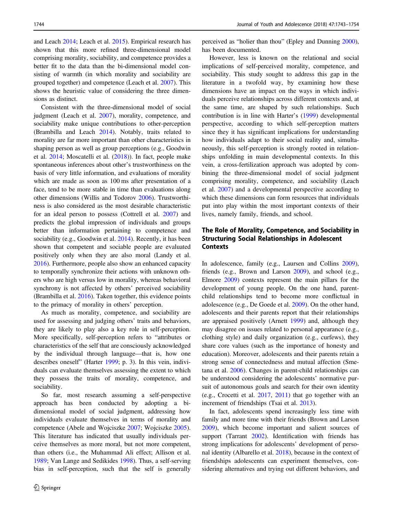and Leach [2014](#page-9-0); Leach et al. [2015](#page-10-0)). Empirical research has shown that this more refined three-dimensional model comprising morality, sociability, and competence provides a better fit to the data than the bi-dimensional model consisting of warmth (in which morality and sociability are grouped together) and competence (Leach et al. [2007](#page-10-0)). This shows the heuristic value of considering the three dimensions as distinct.

Consistent with the three-dimensional model of social judgment (Leach et al. [2007](#page-10-0)), morality, competence, and sociability make unique contributions to other-perception (Brambilla and Leach [2014](#page-9-0)). Notably, traits related to morality are far more important than other characteristics in shaping person as well as group perceptions (e.g., Goodwin et al. [2014;](#page-10-0) Moscatelli et al. ([2018\)](#page-10-0)). In fact, people make spontaneous inferences about other's trustworthiness on the basis of very little information, and evaluations of morality which are made as soon as 100 ms after presentation of a face, tend to be more stable in time than evaluations along other dimensions (Willis and Todorov [2006](#page-11-0)). Trustworthiness is also considered as the most desirable characteristic for an ideal person to possess (Cottrell et al. [2007\)](#page-9-0) and predicts the global impression of individuals and groups better than information pertaining to competence and sociability (e.g., Goodwin et al. [2014](#page-10-0)). Recently, it has been shown that competent and sociable people are evaluated positively only when they are also moral (Landy et al. [2016\)](#page-10-0). Furthermore, people also show an enhanced capacity to temporally synchronize their actions with unknown others who are high versus low in morality, whereas behavioral synchrony is not affected by others' perceived sociability (Brambilla et al. [2016\)](#page-9-0). Taken together, this evidence points to the primacy of morality in others' perception.

As much as morality, competence, and sociability are used for assessing and judging others' traits and behaviors, they are likely to play also a key role in self-perception. More specifically, self-perception refers to "attributes or characteristics of the self that are consciously acknowledged by the individual through language—that is, how one describes oneself" (Harter [1999](#page-10-0); p. 3). In this vein, individuals can evaluate themselves assessing the extent to which they possess the traits of morality, competence, and sociability.

So far, most research assuming a self-perspective approach has been conducted by adopting a bidimensional model of social judgment, addressing how individuals evaluate themselves in terms of morality and competence (Abele and Wojciszke [2007](#page-9-0); Wojciszke [2005](#page-11-0)). This literature has indicated that usually individuals perceive themselves as more moral, but not more competent, than others (i.e., the Muhammad Ali effect; Allison et al. [1989;](#page-9-0) Van Lange and Sedikides [1998\)](#page-11-0). Thus, a self-serving bias in self-perception, such that the self is generally

perceived as "holier than thou" (Epley and Dunning [2000\)](#page-10-0), has been documented.

However, less is known on the relational and social implications of self-perceived morality, competence, and sociability. This study sought to address this gap in the literature in a twofold way, by examining how these dimensions have an impact on the ways in which individuals perceive relationships across different contexts and, at the same time, are shaped by such relationships. Such contribution is in line with Harter's [\(1999](#page-10-0)) developmental perspective, according to which self-perception matters since they it has significant implications for understanding how individuals adapt to their social reality and, simultaneously, this self-perception is strongly rooted in relationships unfolding in main developmental contexts. In this vein, a cross-fertilization approach was adopted by combining the three-dimensional model of social judgment comprising morality, competence, and sociability (Leach et al. [2007](#page-10-0)) and a developmental perspective according to which these dimensions can form resources that individuals put into play within the most important contexts of their lives, namely family, friends, and school.

# The Role of Morality, Competence, and Sociability in Structuring Social Relationships in Adolescent Contexts

In adolescence, family (e.g., Laursen and Collins [2009\)](#page-10-0), friends (e.g., Brown and Larson [2009\)](#page-9-0), and school (e.g., Elmore [2009\)](#page-10-0) contexts represent the main pillars for the development of young people. On the one hand, parentchild relationships tend to become more conflictual in adolescence (e.g., De Goede et al. [2009\)](#page-10-0). On the other hand, adolescents and their parents report that their relationships are appraised positively (Arnett [1999\)](#page-9-0) and, although they may disagree on issues related to personal appearance (e.g., clothing style) and daily organization (e.g., curfews), they share core values (such as the importance of honesty and education). Moreover, adolescents and their parents retain a strong sense of connectedness and mutual affection (Smetana et al. [2006\)](#page-11-0). Changes in parent-child relationships can be understood considering the adolescents' normative pursuit of autonomous goals and search for their own identity (e.g., Crocetti et al. [2017,](#page-9-0) [2011\)](#page-10-0) that go together with an increment of friendships (Tsai et al. [2013](#page-11-0)).

In fact, adolescents spend increasingly less time with family and more time with their friends (Brown and Larson [2009](#page-9-0)), which become important and salient sources of support (Tarrant [2002](#page-11-0)). Identification with friends has strong implications for adolescents' development of personal identity (Albarello et al. [2018\)](#page-9-0), because in the context of friendships adolescents can experiment themselves, considering alternatives and trying out different behaviors, and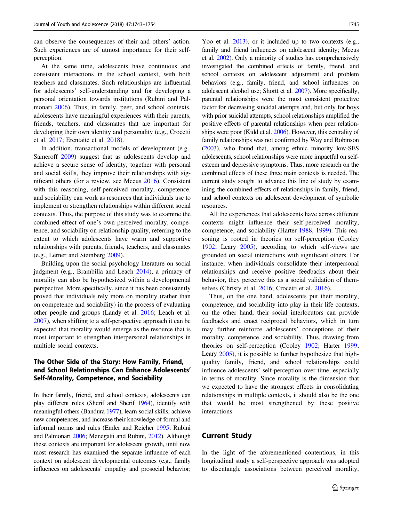can observe the consequences of their and others' action. Such experiences are of utmost importance for their selfperception.

At the same time, adolescents have continuous and consistent interactions in the school context, with both teachers and classmates. Such relationships are influential for adolescents' self-understanding and for developing a personal orientation towards institutions (Rubini and Palmonari [2006\)](#page-10-0). Thus, in family, peer, and school contexts, adolescents have meaningful experiences with their parents, friends, teachers, and classmates that are important for developing their own identity and personality (e.g., Crocetti et al. [2017](#page-9-0); Erentaitė et al. [2018](#page-10-0)).

In addition, transactional models of development (e.g., Sameroff [2009](#page-10-0)) suggest that as adolescents develop and achieve a secure sense of identity, together with personal and social skills, they improve their relationships with significant others (for a review, see Meeus [2016\)](#page-10-0). Consistent with this reasoning, self-perceived morality, competence, and sociability can work as resources that individuals use to implement or strengthen relationships within different social contexts. Thus, the purpose of this study was to examine the combined effect of one's own perceived morality, competence, and sociability on relationship quality, referring to the extent to which adolescents have warm and supportive relationships with parents, friends, teachers, and classmates (e.g., Lerner and Steinberg [2009\)](#page-10-0).

Building upon the social psychology literature on social judgment (e.g., Brambilla and Leach [2014](#page-9-0)), a primacy of morality can also be hypothesized within a developmental perspective. More specifically, since it has been consistently proved that individuals rely more on morality (rather than on competence and sociability) in the process of evaluating other people and groups (Landy et al. [2016](#page-10-0); Leach et al. [2007\)](#page-10-0), when shifting to a self-perspective approach it can be expected that morality would emerge as the resource that is most important to strengthen interpersonal relationships in multiple social contexts.

# The Other Side of the Story: How Family, Friend, and School Relationships Can Enhance Adolescents' Self-Morality, Competence, and Sociability

In their family, friend, and school contexts, adolescents can play different roles (Sherif and Sherif [1964](#page-11-0)), identify with meaningful others (Bandura [1977\)](#page-9-0), learn social skills, achieve new competences, and increase their knowledge of formal and informal norms and rules (Emler and Reicher [1995](#page-10-0); Rubini and Palmonari [2006](#page-10-0); Menegatti and Rubini, [2012](#page-10-0)). Although these contexts are important for adolescent growth, until now most research has examined the separate influence of each context on adolescent developmental outcomes (e.g., family influences on adolescents' empathy and prosocial behavior;

Yoo et al. [2013](#page-11-0)), or it included up to two contexts (e.g., family and friend influences on adolescent identity; Meeus et al. [2002\)](#page-10-0). Only a minority of studies has comprehensively investigated the combined effects of family, friend, and school contexts on adolescent adjustment and problem behaviors (e.g., family, friend, and school influences on adolescent alcohol use; Shortt et al. [2007](#page-11-0)). More specifically, parental relationships were the most consistent protective factor for decreasing suicidal attempts and, but only for boys with prior suicidal attempts, school relationships amplified the positive effects of parental relationships when peer relationships were poor (Kidd et al. [2006](#page-10-0)). However, this centrality of family relationships was not confirmed by Way and Robinson [\(2003\)](#page-11-0), who found that, among ethnic minority low-SES adolescents, school relationships were more impactful on selfesteem and depressive symptoms. Thus, more research on the combined effects of these three main contexts is needed. The current study sought to advance this line of study by examining the combined effects of relationships in family, friend, and school contexts on adolescent development of symbolic resources.

All the experiences that adolescents have across different contexts might influence their self-perceived morality, competence, and sociability (Harter [1988](#page-10-0), [1999\)](#page-10-0). This reasoning is rooted in theories on self-perception (Cooley [1902](#page-9-0); Leary [2005](#page-10-0)), according to which self-views are grounded on social interactions with significant others. For instance, when individuals consolidate their interpersonal relationships and receive positive feedbacks about their behavior, they perceive this as a social validation of themselves (Christy et al. [2016](#page-9-0); Crocetti et al. [2016\)](#page-10-0).

Thus, on the one hand, adolescents put their morality, competence, and sociability into play in their life contexts; on the other hand, their social interlocutors can provide feedbacks and enact reciprocal behaviors, which in turn may further reinforce adolescents' conceptions of their morality, competence, and sociability. Thus, drawing from theories on self-perception (Cooley [1902;](#page-9-0) Harter [1999;](#page-10-0) Leary [2005](#page-10-0)), it is possible to further hypothesize that highquality family, friend, and school relationships could influence adolescents' self-perception over time, especially in terms of morality. Since morality is the dimension that we expected to have the strongest effects in consolidating relationships in multiple contexts, it should also be the one that would be most strengthened by these positive interactions.

## Current Study

In the light of the aforementioned contentions, in this longitudinal study a self-perspective approach was adopted to disentangle associations between perceived morality,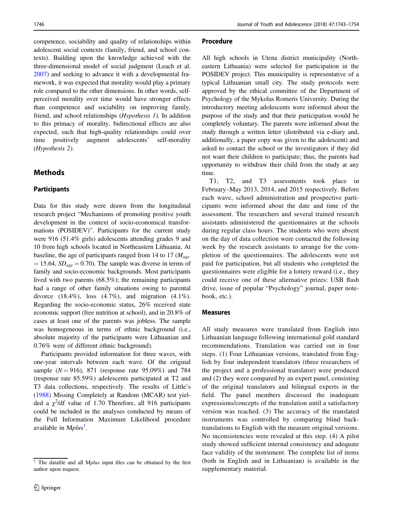competence, sociability and quality of relationships within adolescent social contexts (family, friend, and school contexts). Building upon the knowledge achieved with the three-dimensional model of social judgment (Leach et al. [2007\)](#page-10-0) and seeking to advance it with a developmental framework, it was expected that morality would play a primary role compared to the other dimensions. In other words, selfperceived morality over time would have stronger effects than competence and sociability on improving family, friend, and school relationships (Hypothesis 1). In addition to this primacy of morality, bidirectional effects are also expected, such that high-quality relationships could over time positively augment adolescents' self-morality (Hypothesis 2).

# **Methods**

## Participants

Data for this study were drawn from the longitudinal research project "Mechanisms of promoting positive youth development in the context of socio-economical transformations (POSIDEV)". Participants for the current study were 916 (51.4% girls) adolescents attending grades 9 and 10 from high schools located in Northeastern Lithuania. At baseline, the age of participants ranged from 14 to 17 ( $M_{\text{age}}$ )  $= 15.64$ ,  $SD<sub>age</sub> = 0.70$ . The sample was diverse in terms of family and socio-economic backgrounds. Most participants lived with two parents (68.5%); the remaining participants had a range of other family situations owing to parental divorce  $(18.4\%)$ , loss  $(4.7\%)$ , and migration  $(4.1\%)$ . Regarding the socio-economic status, 26% received state economic support (free nutrition at school), and in 20.8% of cases at least one of the parents was jobless. The sample was homogeneous in terms of ethnic background (i.e., absolute majority of the participants were Lithuanian and 0.76% were of different ethnic background).

Participants provided information for three waves, with one-year intervals between each wave. Of the original sample ( $N = 916$ ), 871 (response rate 95.09%) and 784 (response rate 85.59%) adolescents participated at T2 and T3 data collections, respectively. The results of Little's [\(1988](#page-10-0)) Missing Completely at Random (MCAR) test yielded a  $\chi^2$ /df value of 1.70 Therefore, all 916 participants could be included in the analyses conducted by means of the Full Information Maximum Likelihood procedure available in Mplus<sup>1</sup>.

#### Procedure

All high schools in Utena district municipality (Northeastern Lithuania) were selected for participation in the POSIDEV project. This municipality is representative of a typical Lithuanian small city. The study protocols were approved by the ethical committee of the Department of Psychology of the Mykolas Romeris University. During the introductory meeting adolescents were informed about the purpose of the study and that their participation would be completely voluntary. The parents were informed about the study through a written letter (distributed via e-diary and, additionally, a paper copy was given to the adolescent) and asked to contact the school or the investigators if they did not want their children to participate; thus, the parents had opportunity to withdraw their child from the study at any time.

T1, T2, and T3 assessments took place in February–May 2013, 2014, and 2015 respectively. Before each wave, school administration and prospective participants were informed about the date and time of the assessment. The researchers and several trained research assistants administered the questionnaires at the schools during regular class hours. The students who were absent on the day of data collection were contacted the following week by the research assistants to arrange for the completion of the questionnaires. The adolescents were not paid for participation, but all students who completed the questionnaires were eligible for a lottery reward (i.e., they could receive one of these alternative prizes: USB flash drive, issue of popular "Psychology" journal, paper notebook, etc.).

## Measures

All study measures were translated from English into Lithuanian language following international gold standard recommendations. Translation was carried out in four steps. (1) Four Lithuanian versions, translated from English by four independent translators (three researchers of the project and a professional translator) were produced and (2) they were compared by an expert panel, consisting of the original translators and bilingual experts in the field. The panel members discussed the inadequate expressions/concepts of the translation until a satisfactory version was reached. (3) The accuracy of the translated instruments was controlled by comparing blind backtranslations to English with the measure original versions. No inconsistencies were revealed at this step. (4) A pilot study showed sufficient internal consistency and adequate face validity of the instrument. The complete list of items (both in English and in Lithuanian) is available in the supplementary material.

 $1$  The datafile and all Mplus input files can be obtained by the first author upon request.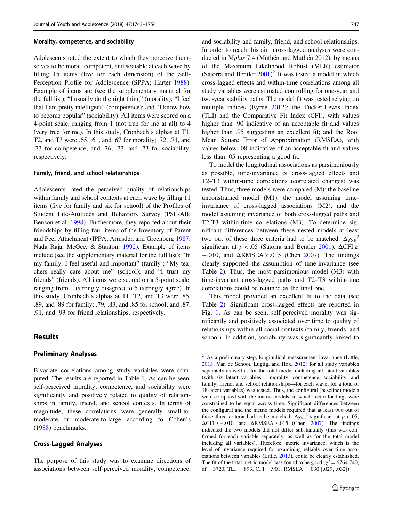#### Morality, competence, and sociability

Adolescents rated the extent to which they perceive themselves to be moral, competent, and sociable at each wave by filling 15 items (five for each dimension) of the Self-Perception Profile for Adolescence (SPPA; Harter [1988](#page-10-0)). Example of items are (see the supplementary material for the full list): "I usually do the right thing" (morality); "I feel that I am pretty intelligent" (competence); and "I know how to become popular" (sociability). All items were scored on a 4-point scale, ranging from 1 (not true for me at all) to 4 (very true for me). In this study, Cronbach's alphas at T1, T2, and T3 were .65, .61, and .67 for morality; .72, .71, and .73 for competence; and .76, .73, and .73 for sociability, respectively.

#### Family, friend, and school relationships

Adolescents rated the perceived quality of relationships within family and school contexts at each wave by filling 11 items (five for family and six for school) of the Profiles of Student Life-Attitudes and Behaviors Survey (PSL-AB; Benson et al. [1998\)](#page-9-0). Furthermore, they reported about their friendships by filling four items of the Inventory of Parent and Peer Attachment (IPPA; Armsden and Greenberg [1987](#page-9-0); Nada Raja, McGee, & Stanton, [1992\)](#page-10-0). Example of items include (see the supplementary material for the full list): "In my family, I feel useful and important" (family); "My teachers really care about me" (school); and "I trust my friends" (friends). All items were scored on a 5-point scale, ranging from 1 (strongly disagree) to 5 (strongly agree). In this study, Cronbach's alphas at T1, T2, and T3 were .85, .89, and .89 for family; .79, .83, and .85 for school; and .87, .91, and .93 for friend relationships, respectively.

## **Results**

### Preliminary Analyses

Bivariate correlations among study variables were computed. The results are reported in Table [1](#page-5-0). As can be seen, self-perceived morality, competence, and sociability were significantly and positively related to quality of relationships in family, friend, and school contexts. In terms of magnitude, these correlations were generally small-tomoderate or moderate-to-large according to Cohen's [\(1988](#page-9-0)) benchmarks.

## Cross-Lagged Analyses

The purpose of this study was to examine directions of associations between self-perceived morality, competence,

and sociability and family, friend, and school relationships. In order to reach this aim cross-lagged analyses were conducted in Mplus 7.4 (Muthén and Muthén [2012\)](#page-10-0), by means of the Maximum Likelihood Robust (MLR) estimator (Satorra and Bentler  $2001$ )<sup>2</sup> It was tested a model in which cross-lagged effects and within-time correlations among all study variables were estimated controlling for one-year and two-year stability paths. The model fit was tested relying on multiple indices (Byrne [2012](#page-9-0)): the Tucker-Lewis Index (TLI) and the Comparative Fit Index (CFI), with values higher than .90 indicative of an acceptable fit and values higher than .95 suggesting an excellent fit; and the Root Mean Square Error of Approximation (RMSEA), with values below .08 indicative of an acceptable fit and values less than .05 representing a good fit.

To model the longitudinal associations as parsimoniously as possible, time-invariance of cross-lagged effects and T2–T3 within-time correlations (correlated changes) was tested. Thus, three models were compared (M): the baseline unconstrained model (M1), the model assuming timeinvariance of cross-lagged associations (M2), and the model assuming invariance of both cross-lagged paths and T2-T3 within-time correlations (M3). To determine significant differences between these nested models at least two out of these three criteria had to be matched:  $\Delta \chi_{SB}^2$ significant at  $p < .05$  (Satorra and Bentler [2001\)](#page-11-0),  $\Delta$ CFI ≥ −.010, and  $\triangle$ RMSEA ≥.015 (Chen [2007\)](#page-9-0). The findings clearly supported the assumption of time-invariance (see Table [2](#page-6-0)). Thus, the most parsimonious model (M3) with time-invariant cross-lagged paths and T2–T3 within-time correlations could be retained as the final one.

This model provided an excellent fit to the data (see Table [2](#page-6-0)). Significant cross-lagged effects are reported in Fig. [1](#page-6-0). As can be seen, self-perceived morality was significantly and positively associated over time to quality of relationships within all social contexts (family, friends, and school). In addition, sociability was significantly linked to

 $\overline{2}$  As a preliminary step, longitudinal measurement invariance (Little, [2013](#page-10-0); Van de Schoot, Lugtig, and Hox, [2012](#page-11-0)) for all study variables separately as well as for the total model including all latent variables (with six latent variables— morality, competence, sociability, and family, friend, and school relationships—for each wave; for a total of 18 latent variables) was tested. Thus, the configural (baseline) models were compared with the metric models, in which factor loadings were constrained to be equal across time. Significant differences between the configural and the metric models required that at least two out of these three criteria had to be matched:  $\Delta \chi_{SB}^2$  significant at  $p < .05$ ,  $\Delta$ CFI ≥ -.010, and  $\Delta$ RMSEA ≥ .015 (Chen, [2007\)](#page-9-0). The findings indicated the two models did not differ substantially (this was confirmed for each variable separately, as well as for the total model including all variables). Therefore, metric invariance, which is the level of invariance required for examining reliably over time associations between variables (Little, [2013](#page-10-0)), could be clearly established. The fit of the total metric model was found to be good ( $\chi^2 = 6764.740$ ,  $df = 3720$ , TLI = .893, CFI = .901, RMSEA = .030 [.029, .032]).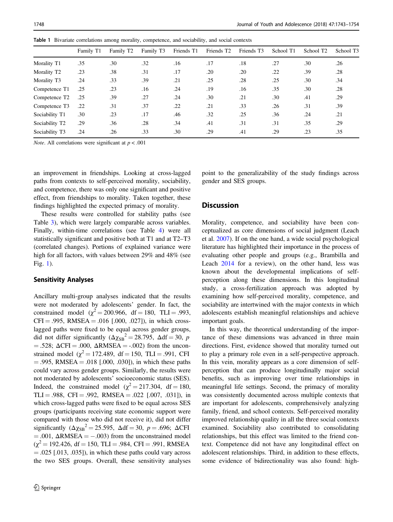|                           | Family T1 | Family T <sub>2</sub> | Family T3 | Friends T1 | Friends T <sub>2</sub> | Friends T <sub>3</sub> | School T1 | School T <sub>2</sub> | School T <sub>3</sub> |
|---------------------------|-----------|-----------------------|-----------|------------|------------------------|------------------------|-----------|-----------------------|-----------------------|
| Morality T1               | .35       | .30                   | .32       | .16        | .17                    | .18                    | .27       | .30                   | .26                   |
| Morality T <sub>2</sub>   | .23       | .38                   | .31       | .17        | .20                    | .20                    | .22       | .39                   | .28                   |
| Morality T3               | .24       | .33                   | .39       | .21        | .25                    | .28                    | .25       | .30                   | .34                   |
| Competence T1             | .25       | .23                   | .16       | .24        | .19                    | .16                    | .35       | .30                   | .28                   |
| Competence T <sub>2</sub> | .25       | .39                   | .27       | .24        | .30                    | .21                    | .30       | .41                   | .29                   |
| Competence T <sub>3</sub> | .22       | .31                   | .37       | .22        | .21                    | .33                    | .26       | .31                   | .39                   |
| Sociability T1            | .30       | .23                   | .17       | .46        | .32                    | .25                    | .36       | .24                   | .21                   |
| Sociability T2            | .29       | .36                   | .28       | .34        | .41                    | .31                    | .31       | .35                   | .29                   |
| Sociability T3            | .24       | .26                   | .33       | .30        | .29                    | .41                    | .29       | .23                   | .35                   |

<span id="page-5-0"></span>Table 1 Bivariate correlations among morality, competence, and sociability, and social contexts

*Note.* All correlations were significant at  $p < .001$ 

an improvement in friendships. Looking at cross-lagged paths from contexts to self-perceived morality, sociability, and competence, there was only one significant and positive effect, from friendships to morality. Taken together, these findings highlighted the expected primacy of morality.

These results were controlled for stability paths (see Table [3](#page-6-0)), which were largely comparable across variables. Finally, within-time correlations (see Table [4\)](#page-6-0) were all statistically significant and positive both at T1 and at T2–T3 (correlated changes). Portions of explained variance were high for all factors, with values between 29% and 48% (see Fig. [1](#page-6-0)).

# Sensitivity Analyses

Ancillary multi-group analyses indicated that the results were not moderated by adolescents' gender. In fact, the constrained model ( $\chi^2$  = 200.966, df = 180, TLI = .993,  $CFI = .995$ , RMSEA = .016 [.000, .027]), in which crosslagged paths were fixed to be equal across gender groups, did not differ significantly  $(\Delta \chi_{SB}^2 = 28.795, \Delta df = 30, p$  $= .528$ ;  $\Delta \text{CFI} = .000$ ,  $\Delta \text{RMSEA} = -.002$ ) from the unconstrained model ( $\chi^2$  = 172.489, df = 150, TLI = .991, CFI  $= .995$ , RMSEA  $= .018$  [.000, .030]), in which these paths could vary across gender groups. Similarly, the results were not moderated by adolescents' socioeconomic status (SES). Indeed, the constrained model ( $\chi^2$  = 217.304, df = 180, TLI = .988, CFI = .992, RMSEA = .022 [.007, .031]), in which cross-lagged paths were fixed to be equal across SES groups (participants receiving state economic support were compared with those who did not receive it), did not differ significantly  $(\Delta \chi_{SB}^2 = 25.595, \Delta df = 30, p = .696; \Delta CFI$  $= .001$ ,  $\Delta$ RMSEA  $= -.003$ ) from the unconstrained model  $(\chi^2 = 192.426, df = 150, TLI = .984, CFI = .991, RMSEA$  $= .025$  [.013, .035]), in which these paths could vary across the two SES groups. Overall, these sensitivity analyses point to the generalizability of the study findings across gender and SES groups.

# **Discussion**

Morality, competence, and sociability have been conceptualized as core dimensions of social judgment (Leach et al. [2007](#page-10-0)). If on the one hand, a wide social psychological literature has highlighted their importance in the process of evaluating other people and groups (e.g., Brambilla and Leach [2014](#page-9-0) for a review), on the other hand, less was known about the developmental implications of selfperception along these dimensions. In this longitudinal study, a cross-fertilization approach was adopted by examining how self-perceived morality, competence, and sociability are intertwined with the major contexts in which adolescents establish meaningful relationships and achieve important goals.

In this way, the theoretical understanding of the importance of these dimensions was advanced in three main directions. First, evidence showed that morality turned out to play a primary role even in a self-perspective approach. In this vein, morality appears as a core dimension of selfperception that can produce longitudinally major social benefits, such as improving over time relationships in meaningful life settings. Second, the primacy of morality was consistently documented across multiple contexts that are important for adolescents, comprehensively analyzing family, friend, and school contexts. Self-perceived morality improved relationship quality in all the three social contexts examined. Sociability also contributed to consolidating relationships, but this effect was limited to the friend context. Competence did not have any longitudinal effect on adolescent relationships. Third, in addition to these effects, some evidence of bidirectionality was also found: high-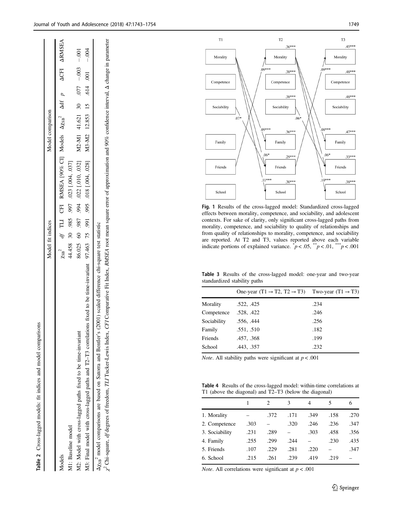<span id="page-6-0"></span>

|                                                                                                                                                                   | Model fit indices |  |                                                                                               | Model comparison                   |  |               |
|-------------------------------------------------------------------------------------------------------------------------------------------------------------------|-------------------|--|-----------------------------------------------------------------------------------------------|------------------------------------|--|---------------|
| Aodels                                                                                                                                                            |                   |  | $\chi_{SB}^2$ df TLI CFI RMSEA [90% CI] Models $\Delta\chi_{SB}^2$ $\Delta df$ p $\Delta$ CFI |                                    |  | <b>ARMSEA</b> |
| M1: Baseline model                                                                                                                                                | 44.458            |  | 30 .985 .997 .023 [.004, .037]                                                                |                                    |  |               |
| M2: Model with cross-lagged paths fixed to be time-invariant                                                                                                      |                   |  | 86.025 60 .987 .994 .022 [.010, .032]                                                         | $M2-M1$ 41.621 30 .077 -.003 -.001 |  |               |
| fixed to be time-invariant 97.463 75 .991 .995 .018 [004, 028] M3-M3 12 3853 15 .014 .001 -0.04<br>M3: Final model with cross-lagged paths and T2-T3 correlations |                   |  |                                                                                               |                                    |  |               |

 $x^2$  Chi-square, df degrees of freedom, TLI Tucker-Lewis Index, CFI Comparative Fit Index, RMSEA root mean square error of approximation and 90% confidence interval,

 $\chi^2$  Chi-square, *df* degrees of freedom, TLI Tucker-Lewis Index, CFI Comparative Fit Index, RMSEA root mean square error of approximation and 90% confidence interval,  $\Delta$  change in parameter

change in parameter





Fig. 1 Results of the cross-lagged model: Standardized cross-lagged effects between morality, competence, and sociability, and adolescent contexts. For sake of clarity, only significant cross-lagged paths from morality, competence, and sociability to quality of relationships and from quality of relationships to morality, competence, and sociability are reported. At T2 and T3, values reported above each variable indicate portions of explained variance.  $\bar{p}$  < .05,  $\bar{p}$  < .01,  $\bar{p}$  < .001

Table 3 Results of the cross-lagged model: one-year and two-year standardized stability paths

|             | One-year $(T1 \rightarrow T2, T2 \rightarrow T3)$ | Two-year $(T1 \rightarrow T3)$ |
|-------------|---------------------------------------------------|--------------------------------|
| Morality    | .522, .425                                        | .234                           |
| Competence  | .528, .422                                        | .246                           |
| Sociability | .556, .444                                        | .256                           |
| Family      | .551, .510                                        | .182                           |
| Friends     | .457, .368                                        | .199                           |
| School      | .443. .357                                        | .232                           |
|             |                                                   |                                |

*Note.* All stability paths were significant at  $p < .001$ 

Table 4 Results of the cross-lagged model: within-time correlations at T1 (above the diagonal) and T2–T3 (below the diagonal)

|                |      | $\mathcal{D}$ | 3    | 4    | 5    | 6    |
|----------------|------|---------------|------|------|------|------|
| 1. Morality    |      | .372          | .171 | .349 | .158 | .270 |
| 2. Competence  | .303 |               | .320 | .246 | .236 | .347 |
| 3. Sociability | .231 | .289          |      | .303 | .458 | .356 |
| 4. Family      | .255 | .299          | .244 |      | .230 | .435 |
| 5. Friends     | .107 | .229          | .281 | .220 |      | .347 |
| 6. School      | .215 | .261          | .239 | .419 | .219 |      |

*Note.* All correlations were significant at  $p < .001$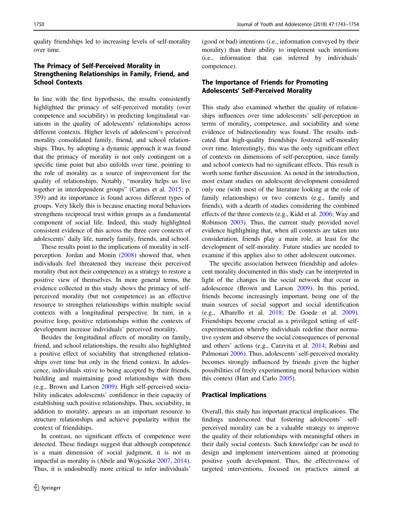quality friendships led to increasing levels of self-morality over time.

# The Primacy of Self-Perceived Morality in Strengthening Relationships in Family, Friend, and School Contexts

In line with the first hypothesis, the results consistently highlighted the primacy of self-perceived morality (over competence and sociability) in predicting longitudinal variations in the quality of adolescents' relationships across different contexts. Higher levels of adolescent's perceived morality consolidated family, friend, and school relationships. Thus, by adopting a dynamic approach it was found that the primacy of morality is not only contingent on a specific time point but also unfolds over time, pointing to the role of morality as a source of improvement for the quality of relationships. Notably, "morality helps us live together in interdependent groups" (Carnes et al. [2015](#page-9-0); p. 359) and its importance is found across different types of groups. Very likely this is because enacting moral behaviors strengthens reciprocal trust within groups as a fundamental component of social life. Indeed, this study highlighted consistent evidence of this across the three core contexts of adolescents' daily life, namely family, friends, and school.

These results point to the implications of morality in selfperception. Jordan and Monin [\(2008](#page-10-0)) showed that, when individuals feel threatened they increase their perceived morality (but not their competence) as a strategy to restore a positive view of themselves. In more general terms, the evidence collected in this study shows the primacy of selfperceived morality (but not competence) as an effective resource to strengthen relationships within multiple social contexts with a longitudinal perspective. In turn, in a positive loop, positive relationships within the contexts of development increase individuals' perceived morality.

Besides the longitudinal effects of morality on family, friend, and school relationships, the results also highlighted a positive effect of sociability that strengthened relationships over time but only in the friend context. In adolescence, individuals strive to being accepted by their friends, building and maintaining good relationships with them (e.g., Brown and Larson [2009\)](#page-9-0). High self-perceived sociability indicates adolescents' confidence in their capacity of establishing such positive relationships. Thus, sociability, in addition to morality, appears as an important resource to structure relationships and achieve popularity within the context of friendships.

In contrast, no significant effects of competence were detected. These findings suggest that although competence is a main dimension of social judgment, it is not as impactful as morality is (Abele and Wojciszke [2007](#page-9-0), [2014](#page-9-0)). Thus, it is undoubtedly more critical to infer individuals'

(good or bad) intentions (i.e., information conveyed by their morality) than their ability to implement such intentions (i.e., information that can inferred by individuals' competence).

# The Importance of Friends for Promoting Adolescents' Self-Perceived Morality

This study also examined whether the quality of relationships influences over time adolescents' self-perception in terms of morality, competence, and sociability and some evidence of bidirectionality was found. The results indicated that high-quality friendships fostered self-morality over time. Interestingly, this was the only significant effect of contexts on dimensions of self-perception, since family and school contexts had no significant effects. This result is worth some further discussion. As noted in the introduction, most extant studies on adolescent development considered only one (with most of the literature looking at the role of family relationships) or two contexts (e.g., family and friends), with a dearth of studies considering the combined effects of the three contexts (e.g., Kidd et al. [2006;](#page-10-0) Way and Robinson [2003](#page-11-0)). Thus, the current study provided novel evidence highlighting that, when all contexts are taken into consideration, friends play a main role, at least for the development of self-morality. Future studies are needed to examine if this applies also to other adolescent outcomes.

The specific association between friendship and adolescent morality documented in this study can be interpreted in light of the changes in the social network that occur in adolescence (Brown and Larson [2009](#page-9-0)). In this period, friends become increasingly important, being one of the main sources of social support and social identification (e.g., Albarello et al. [2018](#page-9-0); De Goede et al. [2009\)](#page-10-0). Friendships become crucial as a privileged setting of selfexperimentation whereby individuals redefine their normative system and observe the social consequences of personal and others' actions (e.g., Caravita et al. [2014;](#page-9-0) Rubini and Palmonari [2006](#page-10-0)). Thus, adolescents' self-perceived morality becomes strongly influenced by friends given the higher possibilities of freely experimenting moral behaviors within this context (Hart and Carlo [2005](#page-10-0)).

### Practical Implications

Overall, this study has important practical implications. The findings underscored that fostering adolescents' selfperceived morality can be a valuable strategy to improve the quality of their relationships with meaningful others in their daily social contexts. Such knowledge can be used to design and implement interventions aimed at promoting positive youth development. Thus, the effectiveness of targeted interventions, focused on practices aimed at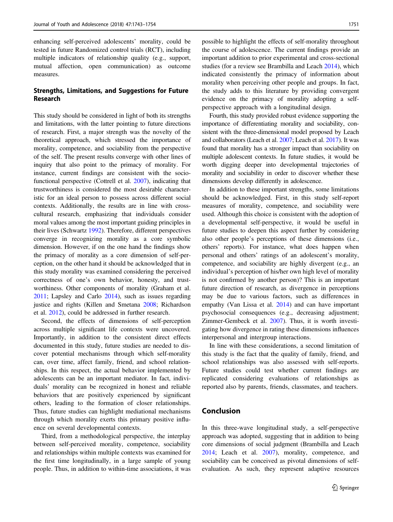enhancing self-perceived adolescents' morality, could be tested in future Randomized control trials (RCT), including multiple indicators of relationship quality (e.g., support, mutual affection, open communication) as outcome measures.

# Strengths, Limitations, and Suggestions for Future Research

This study should be considered in light of both its strengths and limitations, with the latter pointing to future directions of research. First, a major strength was the novelty of the theoretical approach, which stressed the importance of morality, competence, and sociability from the perspective of the self. The present results converge with other lines of inquiry that also point to the primacy of morality. For instance, current findings are consistent with the sociofunctional perspective (Cottrell et al. [2007](#page-9-0)), indicating that trustworthiness is considered the most desirable characteristic for an ideal person to possess across different social contexts. Additionally, the results are in line with crosscultural research, emphasizing that individuals consider moral values among the most important guiding principles in their lives (Schwartz [1992\)](#page-11-0). Therefore, different perspectives converge in recognizing morality as a core symbolic dimension. However, if on the one hand the findings show the primacy of morality as a core dimension of self-perception, on the other hand it should be acknowledged that in this study morality was examined considering the perceived correctness of one's own behavior, honesty, and trustworthiness. Other components of morality (Graham et al. [2011;](#page-10-0) Lapsley and Carlo [2014](#page-10-0)), such as issues regarding justice and rights (Killen and Smetana [2008;](#page-10-0) Richardson et al. [2012\)](#page-10-0), could be addressed in further research.

Second, the effects of dimensions of self-perception across multiple significant life contexts were uncovered. Importantly, in addition to the consistent direct effects documented in this study, future studies are needed to discover potential mechanisms through which self-morality can, over time, affect family, friend, and school relationships. In this respect, the actual behavior implemented by adolescents can be an important mediator. In fact, individuals' morality can be recognized in honest and reliable behaviors that are positively experienced by significant others, leading to the formation of closer relationships. Thus, future studies can highlight mediational mechanisms through which morality exerts this primary positive influence on several developmental contexts.

Third, from a methodological perspective, the interplay between self-perceived morality, competence, sociability and relationships within multiple contexts was examined for the first time longitudinally, in a large sample of young people. Thus, in addition to within-time associations, it was

possible to highlight the effects of self-morality throughout the course of adolescence. The current findings provide an important addition to prior experimental and cross-sectional studies (for a review see Brambilla and Leach [2014\)](#page-9-0), which indicated consistently the primacy of information about morality when perceiving other people and groups. In fact, the study adds to this literature by providing convergent evidence on the primacy of morality adopting a selfperspective approach with a longitudinal design.

Fourth, this study provided robust evidence supporting the importance of differentiating morality and sociability, consistent with the three-dimensional model proposed by Leach and collaborators (Leach et al. [2007;](#page-10-0) Leach et al. [2017](#page-10-0)). It was found that morality has a stronger impact than sociability on multiple adolescent contexts. In future studies, it would be worth digging deeper into developmental trajectories of morality and sociability in order to discover whether these dimensions develop differently in adolescence.

In addition to these important strengths, some limitations should be acknowledged. First, in this study self-report measures of morality, competence, and sociability were used. Although this choice is consistent with the adoption of a developmental self-perspective, it would be useful in future studies to deepen this aspect further by considering also other people's perceptions of these dimensions (i.e., others' reports). For instance, what does happen when personal and others' ratings of an adolescent's morality, competence, and sociability are highly divergent (e.g., an individual's perception of his/her own high level of morality is not confirmed by another person)? This is an important future direction of research, as divergence in perceptions may be due to various factors, such as differences in empathy (Van Lissa et al. [2014\)](#page-11-0) and can have important psychosocial consequences (e.g., decreasing adjustment; Zimmer-Gembeck et al. [2007](#page-11-0)). Thus, it is worth investigating how divergence in rating these dimensions influences interpersonal and intergroup interactions.

In line with these considerations, a second limitation of this study is the fact that the quality of family, friend, and school relationships was also assessed with self-reports. Future studies could test whether current findings are replicated considering evaluations of relationships as reported also by parents, friends, classmates, and teachers.

# Conclusion

In this three-wave longitudinal study, a self-perspective approach was adopted, suggesting that in addition to being core dimensions of social judgment (Brambilla and Leach [2014](#page-9-0); Leach et al. [2007\)](#page-10-0), morality, competence, and sociability can be conceived as pivotal dimensions of selfevaluation. As such, they represent adaptive resources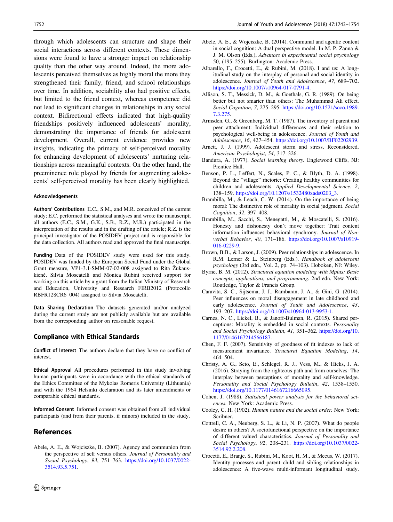<span id="page-9-0"></span>through which adolescents can structure and shape their social interactions across different contexts. These dimensions were found to have a stronger impact on relationship quality than the other way around. Indeed, the more adolescents perceived themselves as highly moral the more they strengthened their family, friend, and school relationships over time. In addition, sociability also had positive effects, but limited to the friend context, whereas competence did not lead to significant changes in relationships in any social context. Bidirectional effects indicated that high-quality friendships positively influenced adolescents' morality, demonstrating the importance of friends for adolescent development. Overall, current evidence provides new insights, indicating the primacy of self-perceived morality for enhancing development of adolescents' nurturing relationships across meaningful contexts. On the other hand, the preeminence role played by friends for augmenting adolescents' self-perceived morality has been clearly highlighted.

#### Acknowledgements

Authors' Contributions E.C., S.M., and M.R. conceived of the current study; E.C. performed the statistical analyses and wrote the manuscript; all authors (E.C., S.M., G.K., S.B., R.Z., M.R.) participated in the interpretation of the results and in the drafting of the article; R.Z. is the principal investigator of the POSIDEV project and is responsible for the data collection. All authors read and approved the final manuscript.

Funding Data of the POSIDEV study were used for this study. POSIDEV was funded by the European Social Fund under the Global Grant measure, VP1-3.1-SMM-07-02-008 assigned to Rita Žukauskienė. Silvia Moscatelli and Monica Rubini received support for working on this article by a grant from the Italian Ministry of Research and Education, University and Research FIRB2012 (Protocollo RBFR128CR6\_004) assigned to Silvia Moscatelli.

Data Sharing Declaration The datasets generated and/or analyzed during the current study are not publicly available but are available from the corresponding author on reasonable request.

## Compliance with Ethical Standards

Conflict of Interest The authors declare that they have no conflict of interest.

Ethical Approval All procedures performed in this study involving human participants were in accordance with the ethical standards of the Ethics Committee of the Mykolas Romeris University (Lithuania) and with the 1964 Helsinki declaration and its later amendments or comparable ethical standards.

Informed Consent Informed consent was obtained from all individual participants (and from their parents, if minors) included in the study.

# References

Abele, A. E., & Wojciszke, B. (2007). Agency and communion from the perspective of self versus others. Journal of Personality and Social Psychology, 93, 751–763. [https://doi.org/10.1037/0022-](https://doi.org/10.1037/0022-3514.93.5.751) [3514.93.5.751.](https://doi.org/10.1037/0022-3514.93.5.751)

- Abele, A. E., & Wojciszke, B. (2014). Communal and agentic content in social cognition: A dual perspective model. In M. P. Zanna & J. M. Olson (Eds.), Advances in experimental social psychology 50, (195–255). Burlington: Academic Press.
- Albarello, F., Crocetti, E., & Rubini, M. (2018). I and us: A longitudinal study on the interplay of personal and social identity in adolescence. Journal of Youth and Adolescence, 47, 689–702. <https://doi.org/10.1007/s10964-017-0791-4>.
- Allison, S. T., Messick, D. M., & Goethals, G. R. (1989). On being better but not smarter than others: The Muhammad Ali effect. Social Cognition, 7, 275–295. [https://doi.org/10.1521/soco.1989.](https://doi.org/10.1521/soco.1989.7.3.275) [7.3.275.](https://doi.org/10.1521/soco.1989.7.3.275)
- Armsden, G., & Greenberg, M. T. (1987). The inventory of parent and peer attachment: Individual differences and their relation to psychological well-being in adolescence. Journal of Youth and Adolescence, 16, 427–454. [https://doi.org/10.1007/BF02202939.](https://doi.org/10.1007/BF02202939)
- Arnett, J. J. (1999). Adolescent storm and stress, Reconsidered. American Psychologist, 54, 317–326.
- Bandura, A. (1977). Social learning theory. Englewood Cliffs, NJ: Prentice Hall.
- Benson, P. L., Leffert, N., Scales, P. C., & Blyth, D. A. (1998). Beyond the "village" rhetoric: Creating healthy communities for children and adolescents. Applied Developmental Science, 2, 138–159. [https://doi.org/10.1207/s1532480xads0203\\_3.](https://doi.org/10.1207/s1532480xads0203_3)
- Brambilla, M., & Leach, C. W. (2014). On the importance of being moral: The distinctive role of morality in social judgment. Social Cognition, 32, 397–408.
- Brambilla, M., Sacchi, S., Menegatti, M., & Moscatelli, S. (2016). Honesty and dishonesty don't move together: Trait content information influences behavioral synchrony. Journal of Nonverbal Behavior, 40, 171–186. [https://doi.org/10.1007/s10919-](https://doi.org/10.1007/s10919-016-0229-9) [016-0229-9](https://doi.org/10.1007/s10919-016-0229-9).
- Brown, B.B., & Larson, J. (2009). Peer relationships in adolescence. In R.M. Lerner & L. Steinberg (Eds.). Handbook of adolescent psychology (3rd edn., Vol. 2, pp. 74–103). Hoboken, NJ: Wiley.
- Byrne, B. M. (2012). Structural equation modeling with Mplus: Basic concepts, applications, and programming. 2nd edn. New York: Routledge, Taylor & Francis Group.
- Caravita, S. C., Sijtsema, J. J., Rambaran, J. A., & Gini, G. (2014). Peer influences on moral disengagement in late childhood and early adolescence. Journal of Youth and Adolescence, 43, 193–207. [https://doi.org/10.1007/s10964-013-9953-1.](https://doi.org/10.1007/s10964-013-9953-1)
- Carnes, N. C., Lickel, B., & Janoff-Bulman, R. (2015). Shared perceptions: Morality is embedded in social contexts. Personality and Social Psychology Bulletin, 41, 351–362. [https://doi.org/10.](https://doi.org/10.1177/0146167214566187) [1177/0146167214566187](https://doi.org/10.1177/0146167214566187).
- Chen, F. F. (2007). Sensitivity of goodness of fit indexes to lack of measurement invariance. Structural Equation Modeling, 14, 464–504.
- Christy, A. G., Seto, E., Schlegel, R. J., Vess, M., & Hicks, J. A. (2016). Straying from the righteous path and from ourselves: The interplay between perceptions of morality and self-knowledge. Personality and Social Psychology Bulletin, 42, 1538–1550. <https://doi.org/10.1177/0146167216665095>.
- Cohen, J. (1988). Statistical power analysis for the behavioral sciences. New York: Academic Press.
- Cooley, C. H. (1902). Human nature and the social order. New York: Scribner.
- Cottrell, C. A., Neuberg, S. L., & Li, N. P. (2007). What do people desire in others? A sociofunctional perspective on the importance of different valued characteristics. Journal of Personality and Social Psychology, 92, 208–231. [https://doi.org/10.1037/0022-](https://doi.org/10.1037/0022-3514.92.2.208) [3514.92.2.208.](https://doi.org/10.1037/0022-3514.92.2.208)
- Crocetti, E., Branje, S., Rubini, M., Koot, H. M., & Meeus, W. (2017). Identity processes and parent–child and sibling relationships in adolescence: A five-wave multi-informant longitudinal study.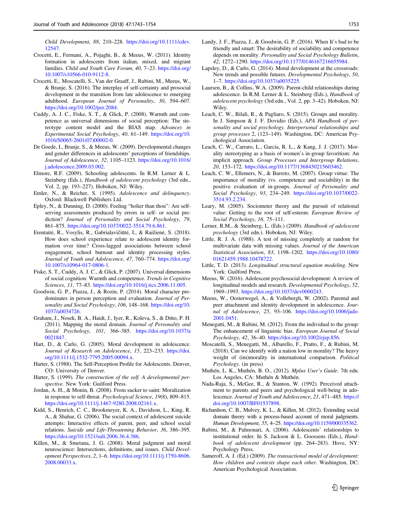<span id="page-10-0"></span>Child Development, 88, 210–228. [https://doi.org/10.1111/cdev.](https://doi.org/10.1111/cdev.12547) [12547](https://doi.org/10.1111/cdev.12547).

- Crocetti, E., Fermani, A., Pojaghi, B., & Meeus, W. (2011). Identity formation in adolescents from italian, mixed, and migrant families. Child and Youth Care Forum, 40, 7–23. [https://doi.org/](https://doi.org/10.1007/s10566-010-9112-8) [10.1007/s10566-010-9112-8](https://doi.org/10.1007/s10566-010-9112-8).
- Crocetti, E., Moscatelli, S., Van der Graaff, J., Rubini, M., Meeus, W., & Branje, S. (2016). The interplay of self-certainty and prosocial development in the transition from late adolescence to emerging adulthood. European Journal of Personality, 30, 594–607. <https://doi.org/10.1002/per.2084>.
- Cuddy, A. J. C., Fiske, S. T., & Glick, P. (2008). Warmth and competence as universal dimensions of social perception: The stereotype content model and the BIAS map. Advances in Experimental Social Psychology, 40, 61–149. [https://doi.org/10.](https://doi.org/10.1016/S0065-2601(07)00002-0) [1016/S0065-2601\(07\)00002-0.](https://doi.org/10.1016/S0065-2601(07)00002-0)
- De Goede, I., Branje, S., & Meeus, W. (2009). Developmental changes and gender differences in adolescents' perceptions of friendships. Journal of Adolescence, 32, 1105–1123. [https://doi.org/10.1016/](https://doi.org/10.1016/j.adolescence.2009.03.002) [j.adolescence.2009.03.002](https://doi.org/10.1016/j.adolescence.2009.03.002).
- Elmore, R.F. (2009). Schooling adolescents. In R.M. Lerner & L. Steinberg (Eds.), Handbook of adolescent psychology (3rd edn., Vol. 2, pp. 193–227). Hoboken, NJ: Wiley.
- Emler, N., & Reicher, S. (1995). Adolescence and delinquency. Oxford: Blackwell Publishers Ltd.
- Epley, N., & Dunning, D. (2000). Feeling "holier than thou": Are selfserving assessments produced by errors in self- or social prediction? Journal of Personality and Social Psychology, 79, 861–875. <https://doi.org/10.1037/0022-3514.79.6.861>.
- Erentaitė, R., Vosylis, R., Gabrialavičiūtė, I., & Raižienė, S. (2018). How does school experience relate to adolescent identity formation over time? Cross-lagged associations between school engagement, school burnout and identity processing styles. Journal of Youth and Adolescence, 47, 760–774. [https://doi.org/](https://doi.org/10.1007/s10964-017-0806-1) [10.1007/s10964-017-0806-1](https://doi.org/10.1007/s10964-017-0806-1).
- Fiske, S. T., Cuddy, A. J. C., & Glick, P. (2007). Universal dimensions of social cognition: Warmth and competence. Trends in Cognitive Sciences, 11, 77–83. <https://doi.org/10.1016/j.tics.2006.11.005>.
- Goodwin, G. P., Piazza, J., & Rozin, P. (2014). Moral character predominates in person perception and evaluation. Journal of Personality and Social Psychology, 106, 148–168. [https://doi.org/10.](https://doi.org/10.1037/a0034726) [1037/a0034726.](https://doi.org/10.1037/a0034726)
- Graham, J., Nosek, B. A., Haidt, J., Iyer, R., Koleva, S., & Ditto, P. H. (2011). Mapping the moral domain. Journal of Personality and Social Psychology, 101, 366–385. [https://doi.org/10.1037/a](https://doi.org/10.1037/a0021847) [0021847.](https://doi.org/10.1037/a0021847)
- Hart, D., & Carlo, G. (2005). Moral development in adolescence. Journal of Research on Adolescence, 15, 223–233. [https://doi.](https://doi.org/10.1111/j.1532-7795.2005.00094.x) [org/10.1111/j.1532-7795.2005.00094.x](https://doi.org/10.1111/j.1532-7795.2005.00094.x).
- Harter, S. (1988). The Self-Perception Profile for Adolescents. Denver, CO: University of Denver.
- Harter, S. (1999). The construction of the self. A developmental perspective. New York: Guilford Press.
- Jordan, A. H., & Monin, B. (2008). From sucker to saint: Moralization in response to self-threat. Psychological Science, 19(8), 809–815. <https://doi.org/10.1111/j.1467-9280.2008.02161.x>.
- Kidd, S., Henrich, C. C., Brookmeyer, K. A., Davidson, L., King, R. A., & Shahar, G. (2006). The social context of adolescent suicide attempts: Interactive effects of parent, peer, and school social relations. Suicide and Life-Threatening Behavior, 36, 386–395. <https://doi.org/10.1521/suli.2006.36.4.386>.
- Killen, M., & Smetana, J. G. (2008). Moral judgment and moral neuroscience: Intersections, definitions, and issues. Child Development Perspectives, 2, 1–6. [https://doi.org/10.1111/j.1750-8606.](https://doi.org/10.1111/j.1750-8606.2008.00033.x) [2008.00033.x.](https://doi.org/10.1111/j.1750-8606.2008.00033.x)
- Landy, J. F., Piazza, J., & Goodwin, G. P. (2016). When It's bad to be friendly and smart: The desirability of sociability and competence depends on morality. Personality and Social Psychology Bulletin, 42, 1272–1290. [https://doi.org/10.1177/0146167216655984.](https://doi.org/10.1177/0146167216655984)
- Lapsley, D., & Carlo, G. (2014). Moral development at the crossroads: New trends and possible futures. Developmental Psychology, 50, 1–7. [https://doi.org/10.1037/a0035225.](https://doi.org/10.1037/a0035225)
- Laursen, B., & Collins, W.A. (2009). Parent-child relationships during adolescence. In R.M. Lerner & L. Steinberg (Eds.), Handbook of adolescent psychology (3rd edn., Vol. 2, pp. 3–42). Hoboken, NJ: Wiley.
- Leach, C. W., Bilali, R., & Pagliaro, S. (2015). Groups and morality. In J. Simpson & J. F. Dovidio (Eds.), APA Handbook of personality and social psychology. Interpersonal relationships and group processes 2, (123–149). Washington, DC: American Psychological Association.
- Leach, C. W., Carraro, L., Garcia, R. L., & Kang, J. J. (2017). Morality stereotyping as a basis of women's in-group favoritism: An implicit approach. Group Processes and Intergroup Relations, 20, 153–172. <https://doi.org/10.1177/1368430215603462>.
- Leach, C. W., Ellemers, N., & Barreto, M. (2007). Group virtue: The importance of morality (vs. competence and sociability) in the positive evaluation of in-groups. Journal of Personality and Social Psychology, 93, 234–249. [https://doi.org/10.1037/0022-](https://doi.org/10.1037/0022-3514.93.2.234) [3514.93.2.234.](https://doi.org/10.1037/0022-3514.93.2.234)
- Leary, M. (2005). Sociometer theory and the pursuit of relational value: Getting to the root of self-esteem. European Review of Social Psychology, 16, 75–111.
- Lerner, R.M., & Steinberg, L. (Eds.) (2009). Handbook of adolescent psychology (3rd edn.). Hoboken, NJ: Wiley.
- Little, R. J. A. (1988). A test of missing completely at random for multivariate data with missing values. Journal of the American Statistical Association, 83, 1198–1202. [https://doi.org/10.1080/](https://doi.org/10.1080/01621459.1988.10478722) [01621459.1988.10478722](https://doi.org/10.1080/01621459.1988.10478722).
- Little, T. D. (2013). Longitudinal structural equation modeling. New York: Guilford Press.
- Meeus, W. (2016). Adolescent psychosocial development: A review of longitudinal models and research. Developmental Psychology, 52, 1969–1993. <https://doi.org/10.1037/dev0000243>.
- Meeus, W., Oosterwegel, A., & Vollebergh, W. (2002). Parental and peer attachment and identity development in adolescence. Journal of Adolescence, 25, 93–106. [https://doi.org/10.1006/jado.](https://doi.org/10.1006/jado.2001.0451) [2001.0451](https://doi.org/10.1006/jado.2001.0451).
- Menegatti, M., & Rubini, M. (2012). From the individual to the group: The enhancement of linguistic bias. European Journal of Social Psychology, 42, 36–40. <https://doi.org/10.1002/ejsp.856>.
- Moscatelli, S., Menegatti, M., Albarello, F., Pratto, F., & Rubini, M. (2018). Can we identify with a nation low in morality? The heavy weight of (im)morality in international comparison. Political Psychology. (in press)
- Muthén, L. K., Muthén, B. O., (2012). Mplus User's Guide. 7th edn. Los Angeles, CA: Muthén & Muthén.
- Nada-Raja, S., McGee, R., & Stanton, W. (1992). Perceived attachment to parents and peers and psychological well-being in adolescence. Journal of Youth and Adolescence, 21, 471–485. [https://](https://doi.org/10.1007/BF01537898) [doi.org/10.1007/BF01537898.](https://doi.org/10.1007/BF01537898)
- Richardson, C. B., Mulvey, K. L., & Killen, M. (2012). Extending social domain theory with a process-based account of moral judgments. Human Development, 55, 4–25. [https://doi.org/10.1159/000335362.](https://doi.org/10.1159/000335362)
- Rubini, M., & Palmonari, A. (2006). Adolescents' relationships to institutional order. In S. Jackson & L. Goossens (Eds.), Handbook of adolescent development (pp. 264–283). Hove, NY: Psychology Press.
- Sameroff, A. J. (Ed.) (2009). The transactional model of development: How children and contexts shape each other. Washington, DC: American Psychological Association.